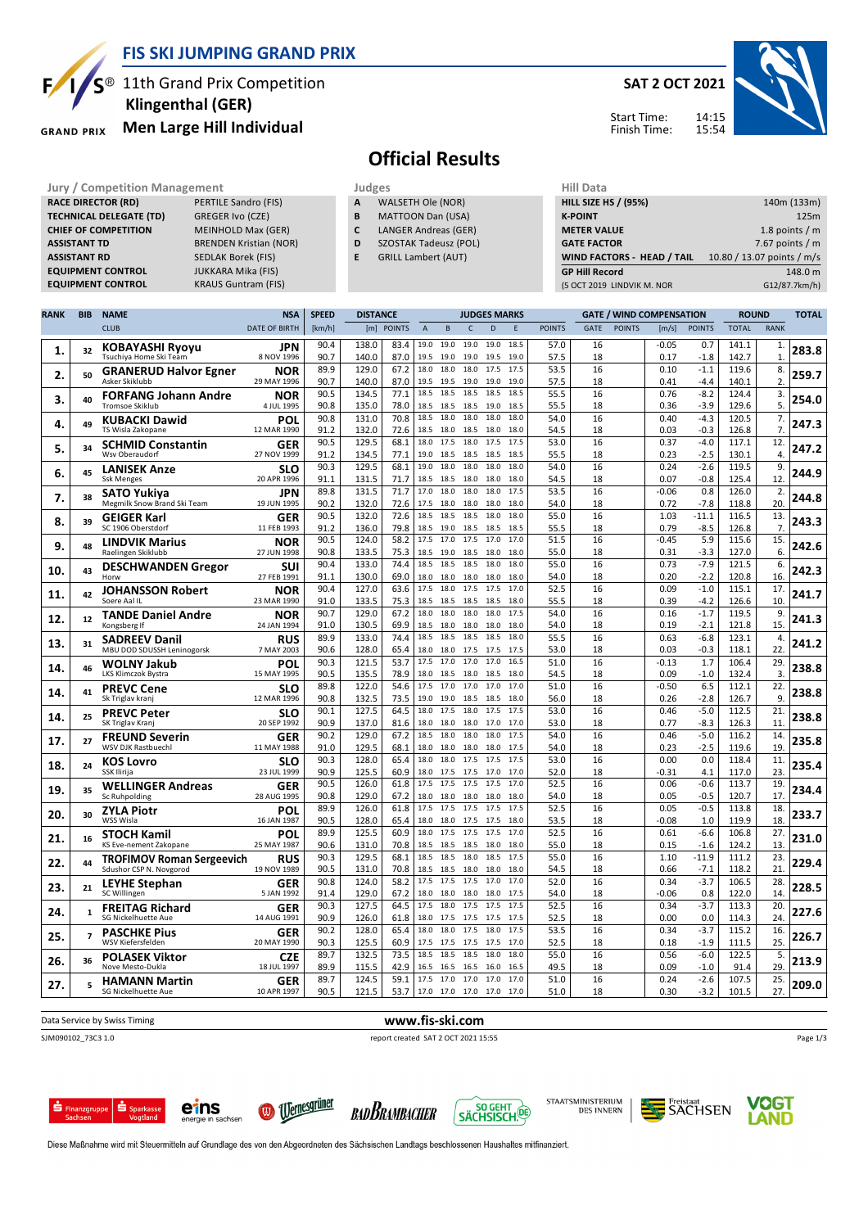

#### **FIS SKI JUMPING GRAND PRIX**

<sup>®</sup> 11th Grand Prix Competition  **Klingenthal (GER)**

**Men Large Hill Individual GRAND PRIX** 

#### **SAT 2 OCT 2021**



Start Time: Finish Time:

# **Official Results**

- **A** WALSETH Ole (NOR)
- **B** MATTOON Dan (USA) **C** LANGER Andreas (GER)
- **D** SZOSTAK Tadeusz (POL)
- **E** GRILL Lambert (AUT)

| Jury / Competition Management  |                               | Judges |                            | Hill Data                   |                            |  |  |  |
|--------------------------------|-------------------------------|--------|----------------------------|-----------------------------|----------------------------|--|--|--|
| <b>RACE DIRECTOR (RD)</b>      | PERTILE Sandro (FIS)          | A      | WALSETH Ole (NOR)          | <b>HILL SIZE HS / (95%)</b> | 140m (133m)                |  |  |  |
| <b>TECHNICAL DELEGATE (TD)</b> | GREGER Ivo (CZE)              | в      | MATTOON Dan (USA)          | <b>K-POINT</b>              | 125m                       |  |  |  |
| <b>CHIEF OF COMPETITION</b>    | <b>MEINHOLD Max (GER)</b>     |        | LANGER Andreas (GER)       | <b>METER VALUE</b>          | 1.8 points $/m$            |  |  |  |
| <b>ASSISTANT TD</b>            | <b>BRENDEN Kristian (NOR)</b> | D      | SZOSTAK Tadeusz (POL)      | <b>GATE FACTOR</b>          | 7.67 points $/m$           |  |  |  |
| <b>ASSISTANT RD</b>            | SEDLAK Borek (FIS)            |        | <b>GRILL Lambert (AUT)</b> | WIND FACTORS - HEAD / TAIL  | 10.80 / 13.07 points / m/s |  |  |  |
| <b>EQUIPMENT CONTROL</b>       | JUKKARA Mika (FIS)            |        |                            | <b>GP Hill Record</b>       | 148.0 m                    |  |  |  |
| <b>EQUIPMENT CONTROL</b>       | <b>KRAUS Guntram (FIS)</b>    |        |                            | (5 OCT 2019 LINDVIK M. NOR  | G12/87.7km/h)              |  |  |  |

| <b>RANK</b> | <b>BIB</b>     | <b>NAME</b>                                           | <b>NSA</b>                | <b>SPEED</b> | <b>DISTANCE</b> |              |                |                     |                   | <b>JUDGES MARKS</b> |              |               |             |               | <b>GATE / WIND COMPENSATION</b> |                   | <b>ROUND</b>   |                    | <b>TOTAL</b> |
|-------------|----------------|-------------------------------------------------------|---------------------------|--------------|-----------------|--------------|----------------|---------------------|-------------------|---------------------|--------------|---------------|-------------|---------------|---------------------------------|-------------------|----------------|--------------------|--------------|
|             |                | <b>CLUB</b>                                           | <b>DATE OF BIRTH</b>      | [km/h]       |                 | [m] POINTS   | $\overline{A}$ | B                   | $\mathsf{C}$      | D                   | E            | <b>POINTS</b> | <b>GATE</b> | <b>POINTS</b> | [m/s]                           | <b>POINTS</b>     | <b>TOTAL</b>   | <b>RANK</b>        |              |
| 1.          | 32             | KOBAYASHI Ryoyu<br>Tsuchiya Home Ski Team             | JPN<br>8 NOV 1996         | 90.4<br>90.7 | 138.0<br>140.0  | 83.4<br>87.0 | 19.0           | 19.0<br>19.5 19.0   | 19.0              | 19.0 19.0<br>19.5   | 18.5<br>19.0 | 57.0<br>57.5  | 16<br>18    |               | $-0.05$<br>0.17                 | 0.7<br>$-1.8$     | 141.1<br>142.7 | 1.<br>$\mathbf{1}$ | 283.8        |
| 2.          | 50             | <b>GRANERUD Halvor Egner</b>                          | <b>NOR</b>                | 89.9         | 129.0           | 67.2         | 18.0           | 18.0                | 18.0              | 17.5                | 17.5         | 53.5          | 16          |               | 0.10                            | $-1.1$            | 119.6          | 8.                 | 259.7        |
|             |                | Asker Skiklubb                                        | 29 MAY 1996               | 90.7<br>90.5 | 140.0<br>134.5  | 87.0<br>77.1 | 19.5<br>18.5   | 19.5<br>18.5        | 19.0<br>18.5      | 19.0<br>18.5        | 19.0<br>18.5 | 57.5<br>55.5  | 18<br>16    |               | 0.41<br>0.76                    | $-4.4$<br>$-8.2$  | 140.1<br>124.4 | 2.<br>3.           |              |
| з.          | 40             | <b>FORFANG Johann Andre</b><br><b>Tromsoe Skiklub</b> | <b>NOR</b><br>4 JUL 1995  | 90.8         | 135.0           | 78.0         | 18.5           | 18.5                | 18.5              | 19.0                | 18.5         | 55.5          | 18          |               | 0.36                            | $-3.9$            | 129.6          | 5.                 | 254.0        |
|             |                | <b>KUBACKI Dawid</b>                                  | POL                       | 90.8         | 131.0           | 70.8         | 18.5           | 18.0                | 18.0              | 18.0                | 18.0         | 54.0          | 16          |               | 0.40                            | $-4.3$            | 120.5          | 7.                 |              |
| 4.          | 49             | TS Wisla Zakopane                                     | 12 MAR 1990               | 91.2         | 132.0           | 72.6         | 18.5           | 18.0                | 18.5              | 18.0                | 18.0         | 54.5          | 18          |               | 0.03                            | $-0.3$            | 126.8          | 7 <sub>1</sub>     | 247.3        |
| 5.          | 34             | <b>SCHMID Constantin</b><br>Wsv Oberaudorf            | <b>GER</b><br>27 NOV 1999 | 90.5<br>91.2 | 129.5<br>134.5  | 68.1<br>77.1 | 18.0<br>19.0   | 17.5<br>18.5        | 18.0<br>18.5      | 17.5<br>18.5        | 17.5<br>18.5 | 53.0<br>55.5  | 16<br>18    |               | 0.37<br>0.23                    | $-4.0$<br>$-2.5$  | 117.1<br>130.1 | 12.<br>4.          | 247.2        |
| 6.          | 45             | <b>LANISEK Anze</b>                                   | <b>SLO</b>                | 90.3         | 129.5           | 68.1         | 19.0           | 18.0                | 18.0              | 18.0                | 18.0         | 54.0          | 16          |               | 0.24                            | $-2.6$            | 119.5          | 9.                 | 244.9        |
|             |                | <b>Ssk Menges</b>                                     | 20 APR 1996               | 91.1         | 131.5           | 71.7         | 18.5           | 18.5                | 18.0              | 18.0                | 18.0         | 54.5          | 18          |               | 0.07                            | $-0.8$            | 125.4          | 12.                |              |
| 7.          | 38             | <b>SATO Yukiva</b>                                    | JPN                       | 89.8         | 131.5           | 71.7         | 17.0           | 18.0                | 18.0              | 18.0                | 17.5         | 53.5          | 16          |               | $-0.06$                         | 0.8               | 126.0          | 2.                 | 244.8        |
|             |                | Megmilk Snow Brand Ski Team                           | 19 JUN 1995               | 90.2<br>90.5 | 132.0<br>132.0  | 72.6<br>72.6 | 17.5<br>18.5   | 18.0<br>18.5        | 18.0<br>18.5      | 18.0<br>18.0        | 18.0<br>18.0 | 54.0<br>55.0  | 18<br>16    |               | 0.72<br>1.03                    | $-7.8$<br>$-11.1$ | 118.8<br>116.5 | 20.<br>13.         |              |
| 8.          | 39             | <b>GEIGER Karl</b><br>SC 1906 Oberstdorf              | <b>GER</b><br>11 FEB 1993 | 91.2         | 136.0           | 79.8         | 18.5           | 19.0                | 18.5              | 18.5                | 18.5         | 55.5          | 18          |               | 0.79                            | $-8.5$            | 126.8          | 7.                 | 243.3        |
|             |                | <b>LINDVIK Marius</b>                                 | <b>NOR</b>                | 90.5         | 124.0           | 58.2         | 17.5           | 17.0                | 17.5              | 17.0                | 17.0         | 51.5          | 16          |               | $-0.45$                         | 5.9               | 115.6          | 15.                |              |
| 9.          | 48             | Raelingen Skiklubb                                    | 27 JUN 1998               | 90.8         | 133.5           | 75.3         | 18.5           | 19.0                | 18.5              | 18.0                | 18.0         | 55.0          | 18          |               | 0.31                            | $-3.3$            | 127.0          | 6.                 | 242.6        |
|             | 43             | <b>DESCHWANDEN Gregor</b>                             | <b>SUI</b>                | 90.4         | 133.0           | 74.4         | 18.5           | 18.5                | 18.5              | 18.0                | 18.0         | 55.0          | 16          |               | 0.73                            | $-7.9$            | 121.5          | 6.                 |              |
| 10          |                | Horw                                                  | 27 FEB 1991               | 91.1         | 130.0           | 69.0         | 18.0           | 18.0                | 18.0              | 18.0                | 18.0         | 54.0          | 18          |               | 0.20                            | $-2.2$            | 120.8          | 16.                | 242.3        |
| 11.         | 42             | <b>JOHANSSON Robert</b>                               | <b>NOR</b>                | 90.4         | 127.0           | 63.6         | 17.5           | 18.0                | 17.5              | 17.5                | 17.0         | 52.5          | 16          |               | 0.09                            | $-1.0$            | 115.1          | 17.                | 241.7        |
|             |                | Soere Aal IL                                          | 23 MAR 1990               | 91.0         | 133.5           | 75.3         | 18.5           | 18.5                | 18.5              | 18.5                | 18.0         | 55.5          | 18          |               | 0.39                            | $-4.2$            | 126.6          | 10.                |              |
| 12.         | 12             | <b>TANDE Daniel Andre</b><br>Kongsberg If             | <b>NOR</b><br>24 JAN 1994 | 90.7<br>91.0 | 129.0<br>130.5  | 67.2<br>69.9 | 18.0<br>18.5   | 18.0<br>18.0        | 18.0<br>18.0      | 18.0<br>18.0        | 17.5<br>18.0 | 54.0<br>54.0  | 16<br>18    |               | 0.16<br>0.19                    | $-1.7$<br>$-2.1$  | 119.5<br>121.8 | 9.<br>15.          | 241.3        |
|             |                | <b>SADREEV Danil</b>                                  | <b>RUS</b>                | 89.9         | 133.0           | 74.4         | 18.5           | 18.5                | 18.5              | 18.5                | 18.0         | 55.5          | 16          |               | 0.63                            | $-6.8$            | 123.1          | 4.                 |              |
| 13.         | 31             | MBU DOD SDUSSH Leninogorsk                            | 7 MAY 2003                | 90.6         | 128.0           | 65.4         | 18.0           | 18.0                | 17.5              | 17.5                | 17.5         | 53.0          | 18          |               | 0.03                            | $-0.3$            | 118.1          | 22.                | 241.2        |
| 14.         | 46             | <b>WOLNY Jakub</b>                                    | POL                       | 90.3         | 121.5           | 53.7         | 17.5           | 17.0                | 17.0              | 17.0                | 16.5         | 51.0          | 16          |               | $-0.13$                         | 1.7               | 106.4          | 29.                | 238.8        |
|             |                | LKS Klimczok Bystra                                   | 15 MAY 1995               | 90.5         | 135.5           | 78.9         | 18.0           | 18.5                | 18.0              | 18.5                | 18.0         | 54.5          | 18          |               | 0.09                            | $-1.0$            | 132.4          | 3.                 |              |
| 14.         | 41             | <b>PREVC Cene</b>                                     | <b>SLO</b>                | 89.8         | 122.0           | 54.6         | 17.5           | 17.0                | 17.0              | 17.0                | 17.0         | 51.0          | 16          |               | $-0.50$                         | 6.5               | 112.1          | 22.                | 238.8        |
|             |                | Sk Triglav kranj                                      | 12 MAR 1996               | 90.8         | 132.5<br>127.5  | 73.5<br>64.5 | 19.0<br>18.0   | 19.0<br>17.5        | 18.5<br>18.0      | 18.5<br>17.5        | 18.0<br>17.5 | 56.0<br>53.0  | 18<br>16    |               | 0.26                            | $-2.8$<br>$-5.0$  | 126.7          | 9.<br>21.          |              |
| 14.         | 25             | <b>PREVC Peter</b><br>SK Triglav Kranj                | <b>SLO</b><br>20 SEP 1992 | 90.1<br>90.9 | 137.0           | 81.6         | 18.0           | 18.0                | 18.0              | 17.0                | 17.0         | 53.0          | 18          |               | 0.46<br>0.77                    | $-8.3$            | 112.5<br>126.3 | 11.                | 238.8        |
|             |                | <b>FREUND Severin</b>                                 | GER                       | 90.2         | 129.0           | 67.2         | 18.5           | 18.0                | 18.0              | 18.0                | 17.5         | 54.0          | 16          |               | 0.46                            | $-5.0$            | 116.2          | 14                 |              |
| 17.         | 27             | WSV DJK Rastbuechl                                    | 11 MAY 1988               | 91.0         | 129.5           | 68.1         | 18.0           | 18.0                | 18.0              | 18.0                | 17.5         | 54.0          | 18          |               | 0.23                            | $-2.5$            | 119.6          | 19.                | 235.8        |
| 18.         | 24             | <b>KOS Lovro</b>                                      | <b>SLO</b>                | 90.3         | 128.0           | 65.4         | 18.0           | 18.0                | 17.5              | 17.5                | 17.5         | 53.0          | 16          |               | 0.00                            | 0.0               | 118.4          | 11.                | 235.4        |
|             |                | <b>SSK Ilirija</b>                                    | 23 JUL 1999               | 90.9         | 125.5           | 60.9         |                | 18.0 17.5           | 17.5              | 17.0                | 17.0         | 52.0          | 18          |               | $-0.31$                         | 4.1               | 117.0          | 23.                |              |
| 19          | 35             | <b>WELLINGER Andreas</b>                              | GER                       | 90.5         | 126.0           | 61.8         | 17.5           | 17.5                | 17.5              | 17.5                | 17.0         | 52.5          | 16          |               | 0.06                            | $-0.6$<br>$-0.5$  | 113.7          | 19.                | 234.4        |
|             |                | Sc Ruhpolding                                         | 28 AUG 1995<br>POL        | 90.8<br>89.9 | 129.0<br>126.0  | 67.2<br>61.8 | 18.0<br>17.5   | 18.0<br>17.5        | 18.0<br>17.5      | 18.0<br>17.5        | 18.0<br>17.5 | 54.0<br>52.5  | 18<br>16    |               | 0.05<br>0.05                    | $-0.5$            | 120.7<br>113.8 | 17.<br>18.         |              |
| 20.         | 30             | <b>ZYLA Piotr</b><br>WSS Wisla                        | 16 JAN 1987               | 90.5         | 128.0           | 65.4         | 18.0           |                     | 18.0 17.5 17.5    |                     | 18.0         | 53.5          | 18          |               | $-0.08$                         | 1.0               | 119.9          | 18.                | 233.7        |
|             |                | <b>STOCH Kamil</b>                                    | POL                       | 89.9         | 125.5           | 60.9         | 18.0           | 17.5                | 17.5              | 17.5                | 17.0         | 52.5          | 16          |               | 0.61                            | $-6.6$            | 106.8          | 27.                |              |
| 21.         | 16             | KS Eve-nement Zakopane                                | 25 MAY 1987               | 90.6         | 131.0           | 70.8         | 18.5           | 18.5                | 18.5              | 18.0                | 18.0         | 55.0          | 18          |               | 0.15                            | $-1.6$            | 124.2          | 13.                | 231.0        |
| 22.         | 44             | <b>TROFIMOV Roman Sergeevich</b>                      | <b>RUS</b>                | 90.3         | 129.5           | 68.1         | 18.5           | 18.5                | 18.0              | 18.5                | 17.5         | 55.0          | 16          |               | 1.10                            | $-11.9$           | 111.2          | 23.                | 229.4        |
|             |                | Sdushor CSP N. Novgorod                               | 19 NOV 1989               | 90.5         | 131.0           | 70.8         | 18.5           | 18.5                | 18.0              | 18.0                | 18.0         | 54.5          | 18          |               | 0.66                            | $-7.1$            | 118.2          | 21.                |              |
| 23.         | 21             | <b>LEYHE Stephan</b><br>SC Willingen                  | <b>GER</b><br>5 JAN 1992  | 90.8<br>91.4 | 124.0<br>129.0  | 58.2<br>67.2 | 17.5<br>18.0   | 17.5<br>18.0        | 17.5<br>18.0 18.0 | 17.0                | 17.0<br>17.5 | 52.0<br>54.0  | 16<br>18    |               | 0.34<br>$-0.06$                 | $-3.7$<br>0.8     | 106.5<br>122.0 | 28.<br>14.         | 228.5        |
|             |                | <b>FREITAG Richard</b>                                | <b>GER</b>                | 90.3         | 127.5           | 64.5         | 17.5           | 18.0                | 17.5              | 17.5                | 17.5         | 52.5          | 16          |               | 0.34                            | $-3.7$            | 113.3          | 20.                |              |
| 24.         | $\mathbf{1}$   | SG Nickelhuette Aue                                   | 14 AUG 1991               | 90.9         | 126.0           | 61.8         | 18.0           | 17.5                | 17.5              | 17.5                | 17.5         | 52.5          | 18          |               | 0.00                            | 0.0               | 114.3          | 24.                | 227.6        |
| 25.         | $\overline{7}$ | <b>PASCHKE Pius</b>                                   | <b>GER</b>                | 90.2         | 128.0           | 65.4         | 18.0           | 18.0                | 17.5              | 18.0                | 17.5         | 53.5          | 16          |               | 0.34                            | $-3.7$            | 115.2          | 16.                | 226.7        |
|             |                | WSV Kiefersfelden                                     | 20 MAY 1990               | 90.3         | 125.5           | 60.9         | 17.5           | 17.5                | 17.5              | 17.5                | 17.0         | 52.5          | 18          |               | 0.18                            | $-1.9$            | 111.5          | 25.                |              |
| 26.         | 36             | <b>POLASEK Viktor</b>                                 | <b>CZE</b>                | 89.7         | 132.5           | 73.5         | 18.5           | 18.5                | 18.5              | 18.0                | 18.0         | 55.0          | 16          |               | 0.56                            | $-6.0$            | 122.5          | 5.                 | 213.9        |
|             |                | Nove Mesto-Dukla                                      | 18 JUL 1997               | 89.9<br>89.7 | 115.5<br>124.5  | 42.9<br>59.1 | 16.5<br>17.5   | 16.5<br>17.0        | 16.5<br>17.0      | 16.0<br>17.0        | 16.5<br>17.0 | 49.5<br>51.0  | 18<br>16    |               | 0.09<br>0.24                    | $-1.0$<br>$-2.6$  | 91.4<br>107.5  | 29.<br>25.         |              |
| 27.         |                | <b>HAMANN Martin</b><br>SG Nickelhuette Aue           | <b>GER</b><br>10 APR 1997 | 90.5         | 121.5           | 53.7         |                | 17.0 17.0 17.0 17.0 |                   |                     | 17.0         | 51.0          | 18          |               | 0.30                            | $-3.2$            | 101.5          | 27.                | 209.0        |
|             |                |                                                       |                           |              |                 |              |                |                     |                   |                     |              |               |             |               |                                 |                   |                |                    |              |

Data Service by Swiss Timing **www.fis-ski.com** 

SJM090102\_73C3 1.0 report created SAT 2 OCT 2021 15:55

Page 1/3





eins







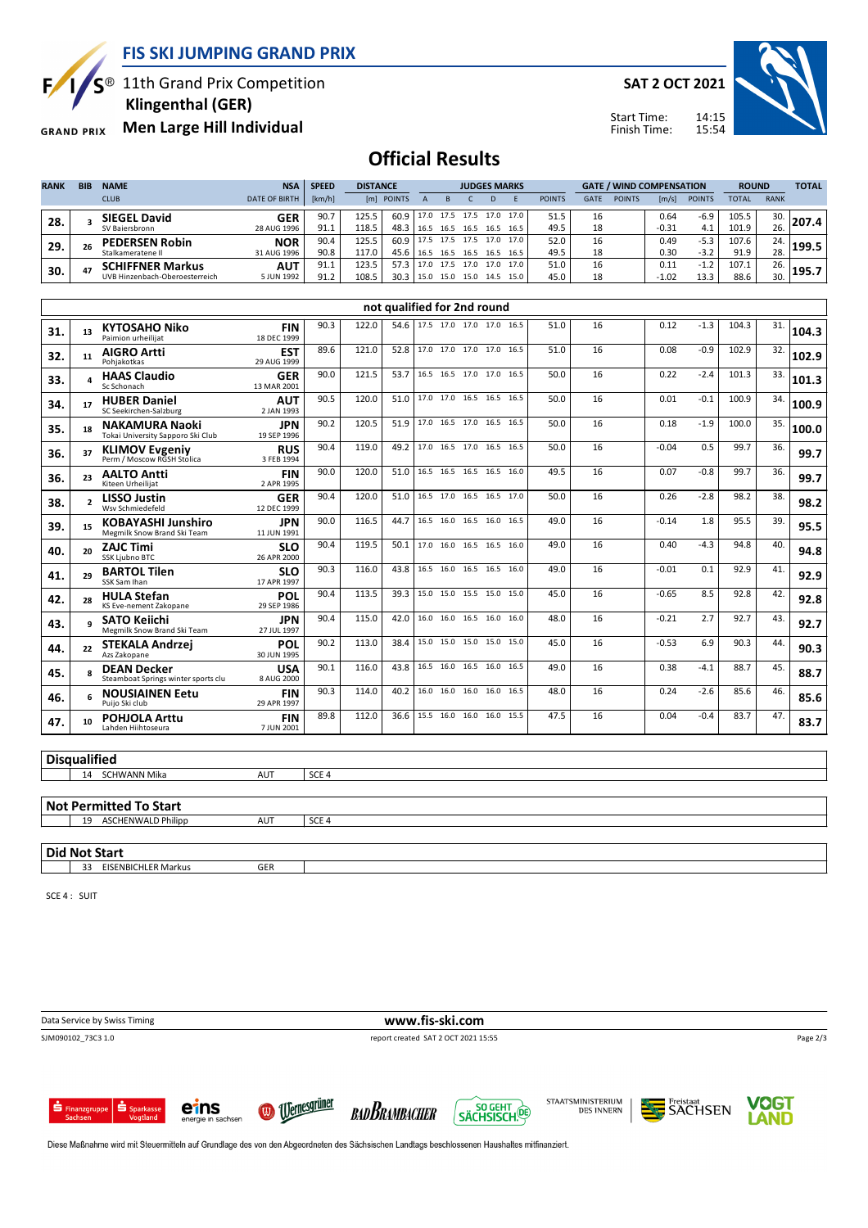**FIS SKI JUMPING GRAND PRIX**

 $S^{\circledast}$  11th Grand Prix Competition

 **Klingenthal (GER)**

**Men Large Hill Individual GRAND PRIX** 

**SAT 2 OCT 2021**

Start Time: Finish Time:



## **Official Results**

| <b>RANK</b> | <b>BIB</b> | <b>NAME</b>                    | <b>NSA</b>           | <b>SPEED</b> | <b>DISTANCE</b> |            |      | <b>JUDGES MARKS</b> |                |      |      |               |             | <b>GATE / WIND COMPENSATION</b> |         |               | <b>ROUND</b> |             | <b>TOTAL</b> |
|-------------|------------|--------------------------------|----------------------|--------------|-----------------|------------|------|---------------------|----------------|------|------|---------------|-------------|---------------------------------|---------|---------------|--------------|-------------|--------------|
|             |            | <b>CLUB</b>                    | <b>DATE OF BIRTH</b> | [km/h]       |                 | [m] POINTS |      |                     |                | D    |      | <b>POINTS</b> | <b>GATE</b> | <b>POINTS</b>                   | [m/s]   | <b>POINTS</b> | TOTAL        | <b>RANK</b> |              |
| 28          |            | <b>SIEGEL David</b>            | GER                  | 90.7         | 125.5           | 60.9       | 17.0 |                     | 17.5 17.5 17.0 |      | 17.0 | 51.5          | 16          |                                 | 0.64    | $-6.9$        | 105.5        | 30.         |              |
|             |            | SV Baiersbronn                 | 28 AUG 1996          | 91.1         | 118.5           | 48.3       | 16.5 | 16.5                | 16.5           | 16.5 | 16.5 | 49.5          | 18          |                                 | $-0.31$ | 4.1           | 101.9        | 26.         |              |
| 29.         | 26         | <b>PEDERSEN Robin</b>          | <b>NOR</b>           | 90.4         | 125.5           | 60.9       | 17.5 | 17.5                | 17.5           | 17.0 | 17.0 | 52.0          | 16          |                                 | 0.49    | $-5.3$        | 107.6        | 24.         | 199.5        |
|             |            | Stalkameratene II              | 31 AUG 1996          | 90.8         | 117.0           | 45.6       | 16.5 | 16.5                | 16.5           | 16.5 | 16.5 | 49.5          | 18          |                                 | 0.30    | $-3.2$        | 91.9         | 28.         |              |
| 30.         | 47         | <b>SCHIFFNER Markus</b>        | <b>AUT</b>           | 91.1         | 123.5           | 57.3       | 17.0 | 17.5                | 17.0           | 17.0 | 17.0 | 51.0          | 16          |                                 | 0.11    | $-1.2$        | 107.1        | 26.         | 195.7        |
|             |            | UVB Hinzenbach-Oberoesterreich | 5 JUN 1992           | 91.2         | 108.5           | 30.3       | 15.0 | 15.0                | 15.0           | 14.5 | 15.0 | 45.0          | 18          |                                 | $-1.02$ | 13.3          | 88.6         | 30.         |              |

|     |                          |                                                            |                           |      |       |      | not qualified for 2nd round   |  |      |      |    |         |        |       |     |       |
|-----|--------------------------|------------------------------------------------------------|---------------------------|------|-------|------|-------------------------------|--|------|------|----|---------|--------|-------|-----|-------|
| 31. | 13                       | <b>KYTOSAHO Niko</b><br>Paimion urheilijat                 | <b>FIN</b><br>18 DEC 1999 | 90.3 | 122.0 |      | 54.6 17.5 17.0 17.0 17.0 16.5 |  |      | 51.0 | 16 | 0.12    | $-1.3$ | 104.3 | 31. | 104.3 |
| 32. | 11                       | <b>AIGRO Artti</b><br>Pohiakotkas                          | <b>EST</b><br>29 AUG 1999 | 89.6 | 121.0 | 52.8 | 17.0 17.0 17.0 17.0 16.5      |  |      | 51.0 | 16 | 0.08    | $-0.9$ | 102.9 | 32. | 102.9 |
| 33. |                          | <b>HAAS Claudio</b><br>Sc Schonach                         | <b>GER</b><br>13 MAR 2001 | 90.0 | 121.5 | 53.7 | 16.5 16.5 17.0 17.0 16.5      |  |      | 50.0 | 16 | 0.22    | $-2.4$ | 101.3 | 33. | 101.3 |
| 34. | 17                       | <b>HUBER Daniel</b><br>SC Seekirchen-Salzburg              | <b>AUT</b><br>2 JAN 1993  | 90.5 | 120.0 | 51.0 | 17.0 17.0 16.5 16.5 16.5      |  |      | 50.0 | 16 | 0.01    | $-0.1$ | 100.9 | 34. | 100.9 |
| 35. | 18                       | <b>NAKAMURA Naoki</b><br>Tokai University Sapporo Ski Club | <b>JPN</b><br>19 SEP 1996 | 90.2 | 120.5 | 51.9 | 17.0 16.5 17.0 16.5 16.5      |  |      | 50.0 | 16 | 0.18    | $-1.9$ | 100.0 | 35. | 100.0 |
| 36. | 37                       | <b>KLIMOV Evgeniy</b><br>Perm / Moscow RGSH Stolica        | <b>RUS</b><br>3 FEB 1994  | 90.4 | 119.0 | 49.2 | 17.0 16.5 17.0 16.5           |  | 16.5 | 50.0 | 16 | $-0.04$ | 0.5    | 99.7  | 36. | 99.7  |
| 36. | 23                       | <b>AALTO Antti</b><br>Kiteen Urheilijat                    | <b>FIN</b><br>2 APR 1995  | 90.0 | 120.0 | 51.0 | 16.5 16.5 16.5 16.5           |  | 16.0 | 49.5 | 16 | 0.07    | $-0.8$ | 99.7  | 36. | 99.7  |
| 38. | $\overline{\phantom{a}}$ | <b>LISSO Justin</b><br>Wsv Schmiedefeld                    | <b>GER</b><br>12 DEC 1999 | 90.4 | 120.0 | 51.0 | 16.5 17.0 16.5 16.5           |  | 17.0 | 50.0 | 16 | 0.26    | $-2.8$ | 98.2  | 38. | 98.2  |
| 39. | 15                       | <b>KOBAYASHI Junshiro</b><br>Megmilk Snow Brand Ski Team   | <b>JPN</b><br>11 JUN 1991 | 90.0 | 116.5 | 44.7 | 16.5 16.0 16.5 16.0           |  | 16.5 | 49.0 | 16 | $-0.14$ | 1.8    | 95.5  | 39. | 95.5  |
| 40. | 20 <sub>0</sub>          | <b>ZAJC Timi</b><br><b>SSK Ljubno BTC</b>                  | <b>SLO</b><br>26 APR 2000 | 90.4 | 119.5 | 50.1 | 17.0 16.0 16.5 16.5 16.0      |  |      | 49.0 | 16 | 0.40    | $-4.3$ | 94.8  | 40. | 94.8  |
| 41. | 29                       | <b>BARTOL Tilen</b><br>SSK Sam Ihan                        | <b>SLO</b><br>17 APR 1997 | 90.3 | 116.0 | 43.8 | 16.5 16.0 16.5 16.5           |  | 16.0 | 49.0 | 16 | $-0.01$ | 0.1    | 92.9  | 41  | 92.9  |
| 42. | 28                       | <b>HULA Stefan</b><br>KS Eve-nement Zakopane               | <b>POL</b><br>29 SEP 1986 | 90.4 | 113.5 | 39.3 | 15.0 15.0 15.5 15.0           |  | 15.0 | 45.0 | 16 | $-0.65$ | 8.5    | 92.8  | 42. | 92.8  |
| 43. | $\alpha$                 | <b>SATO Keiichi</b><br>Megmilk Snow Brand Ski Team         | <b>JPN</b><br>27 JUL 1997 | 90.4 | 115.0 | 42.0 | 16.0 16.0 16.5 16.0 16.0      |  |      | 48.0 | 16 | $-0.21$ | 2.7    | 92.7  | 43. | 92.7  |
| 44. | 22                       | <b>STEKALA Andrzej</b><br>Azs Zakopane                     | POL<br>30 JUN 1995        | 90.2 | 113.0 | 38.4 | 15.0 15.0 15.0 15.0 15.0      |  |      | 45.0 | 16 | $-0.53$ | 6.9    | 90.3  | 44  | 90.3  |
| 45. |                          | <b>DEAN Decker</b><br>Steamboat Springs winter sports clu  | <b>USA</b><br>8 AUG 2000  | 90.1 | 116.0 | 43.8 | 16.5 16.0 16.5 16.0           |  | 16.5 | 49.0 | 16 | 0.38    | $-4.1$ | 88.7  | 45. | 88.7  |
| 46. | 6                        | <b>NOUSIAINEN Eetu</b><br>Puijo Ski club                   | <b>FIN</b><br>29 APR 1997 | 90.3 | 114.0 | 40.2 | 16.0 16.0 16.0 16.0           |  | 16.5 | 48.0 | 16 | 0.24    | $-2.6$ | 85.6  | 46. | 85.6  |
| 47. | 10                       | <b>POHJOLA Arttu</b><br>Lahden Hiihtoseura                 | <b>FIN</b><br>7 JUN 2001  | 89.8 | 112.0 | 36.6 | 15.5 16.0 16.0 16.0           |  | 15.5 | 47.5 | 16 | 0.04    | $-0.4$ | 83.7  | 47. | 83.7  |
|     |                          |                                                            |                           |      |       |      |                               |  |      |      |    |         |        |       |     |       |

### **Disqualified**

14 SCHWANN Mika AUT SCE 4

#### **Not Permitted To Start**

19 ASCHENWALD Philipp AUT SCE 4 **Did Not Start** 33 EISENBICHLER Markus GER

SCE 4 : SUIT

Data Service by Swiss Timing **www.fis-ski.com** SJM090102\_73C3 1.0 report created SAT 2 OCT 2021 15:55 Page 2/3eins













Diese Maßnahme wird mit Steuermitteln auf Grundlage des von den Abgeordneten des Sächsischen Landtags beschlossenen Haushaltes mitfinanziert.